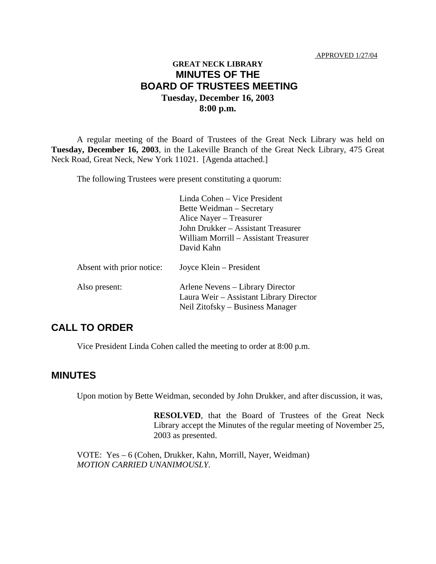# **GREAT NECK LIBRARY MINUTES OF THE BOARD OF TRUSTEES MEETING Tuesday, December 16, 2003 8:00 p.m.**

A regular meeting of the Board of Trustees of the Great Neck Library was held on **Tuesday, December 16, 2003**, in the Lakeville Branch of the Great Neck Library, 475 Great Neck Road, Great Neck, New York 11021. [Agenda attached.]

The following Trustees were present constituting a quorum:

|                           | Linda Cohen - Vice President<br>Bette Weidman – Secretary<br>Alice Nayer – Treasurer<br>John Drukker - Assistant Treasurer<br>William Morrill - Assistant Treasurer<br>David Kahn |
|---------------------------|-----------------------------------------------------------------------------------------------------------------------------------------------------------------------------------|
| Absent with prior notice: | Joyce Klein – President                                                                                                                                                           |
| Also present:             | Arlene Nevens – Library Director<br>Laura Weir – Assistant Library Director<br>Neil Zitofsky – Business Manager                                                                   |

# **CALL TO ORDER**

Vice President Linda Cohen called the meeting to order at 8:00 p.m.

#### **MINUTES**

Upon motion by Bette Weidman, seconded by John Drukker, and after discussion, it was,

**RESOLVED**, that the Board of Trustees of the Great Neck Library accept the Minutes of the regular meeting of November 25, 2003 as presented.

VOTE:Yes – 6 (Cohen, Drukker, Kahn, Morrill, Nayer, Weidman) *MOTION CARRIED UNANIMOUSLY.*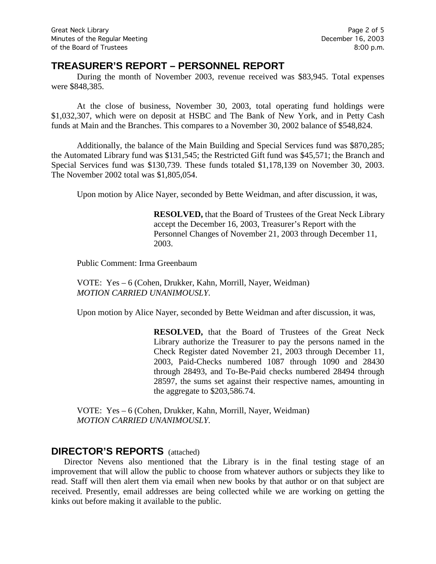## **TREASURER'S REPORT – PERSONNEL REPORT**

During the month of November 2003, revenue received was \$83,945. Total expenses were \$848,385.

At the close of business, November 30, 2003, total operating fund holdings were \$1,032,307, which were on deposit at HSBC and The Bank of New York, and in Petty Cash funds at Main and the Branches. This compares to a November 30, 2002 balance of \$548,824.

Additionally, the balance of the Main Building and Special Services fund was \$870,285; the Automated Library fund was \$131,545; the Restricted Gift fund was \$45,571; the Branch and Special Services fund was \$130,739. These funds totaled \$1,178,139 on November 30, 2003. The November 2002 total was \$1,805,054.

Upon motion by Alice Nayer, seconded by Bette Weidman, and after discussion, it was,

**RESOLVED,** that the Board of Trustees of the Great Neck Library accept the December 16, 2003, Treasurer's Report with the Personnel Changes of November 21, 2003 through December 11, 2003.

Public Comment: Irma Greenbaum

VOTE:Yes – 6 (Cohen, Drukker, Kahn, Morrill, Nayer, Weidman) *MOTION CARRIED UNANIMOUSLY.*

Upon motion by Alice Nayer, seconded by Bette Weidman and after discussion, it was,

**RESOLVED,** that the Board of Trustees of the Great Neck Library authorize the Treasurer to pay the persons named in the Check Register dated November 21, 2003 through December 11, 2003, Paid-Checks numbered 1087 through 1090 and 28430 through 28493, and To-Be-Paid checks numbered 28494 through 28597, the sums set against their respective names, amounting in the aggregate to \$203,586.74.

VOTE:Yes – 6 (Cohen, Drukker, Kahn, Morrill, Nayer, Weidman) *MOTION CARRIED UNANIMOUSLY.*

## **DIRECTOR'S REPORTS** (attached)

Director Nevens also mentioned that the Library is in the final testing stage of an improvement that will allow the public to choose from whatever authors or subjects they like to read. Staff will then alert them via email when new books by that author or on that subject are received. Presently, email addresses are being collected while we are working on getting the kinks out before making it available to the public.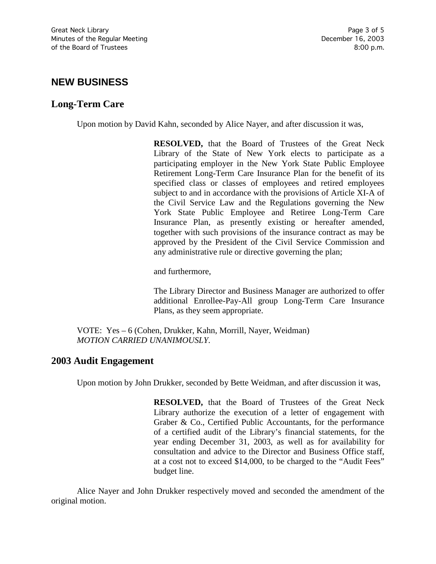# **NEW BUSINESS**

## **Long-Term Care**

Upon motion by David Kahn, seconded by Alice Nayer, and after discussion it was,

**RESOLVED,** that the Board of Trustees of the Great Neck Library of the State of New York elects to participate as a participating employer in the New York State Public Employee Retirement Long-Term Care Insurance Plan for the benefit of its specified class or classes of employees and retired employees subject to and in accordance with the provisions of Article XI-A of the Civil Service Law and the Regulations governing the New York State Public Employee and Retiree Long-Term Care Insurance Plan, as presently existing or hereafter amended, together with such provisions of the insurance contract as may be approved by the President of the Civil Service Commission and any administrative rule or directive governing the plan;

and furthermore,

The Library Director and Business Manager are authorized to offer additional Enrollee-Pay-All group Long-Term Care Insurance Plans, as they seem appropriate.

VOTE:Yes – 6 (Cohen, Drukker, Kahn, Morrill, Nayer, Weidman) *MOTION CARRIED UNANIMOUSLY.*

#### **2003 Audit Engagement**

Upon motion by John Drukker, seconded by Bette Weidman, and after discussion it was,

**RESOLVED,** that the Board of Trustees of the Great Neck Library authorize the execution of a letter of engagement with Graber & Co., Certified Public Accountants, for the performance of a certified audit of the Library's financial statements, for the year ending December 31, 2003, as well as for availability for consultation and advice to the Director and Business Office staff, at a cost not to exceed \$14,000, to be charged to the "Audit Fees" budget line.

Alice Nayer and John Drukker respectively moved and seconded the amendment of the original motion.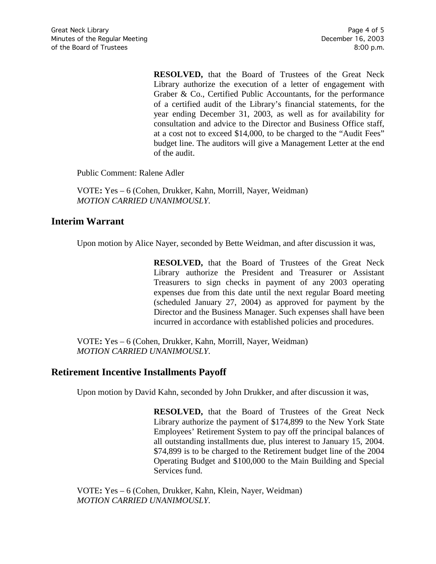**RESOLVED,** that the Board of Trustees of the Great Neck Library authorize the execution of a letter of engagement with Graber & Co., Certified Public Accountants, for the performance of a certified audit of the Library's financial statements, for the year ending December 31, 2003, as well as for availability for consultation and advice to the Director and Business Office staff, at a cost not to exceed \$14,000, to be charged to the "Audit Fees" budget line. The auditors will give a Management Letter at the end of the audit.

Public Comment: Ralene Adler

VOTE**:** Yes – 6 (Cohen, Drukker, Kahn, Morrill, Nayer, Weidman) *MOTION CARRIED UNANIMOUSLY.*

### **Interim Warrant**

Upon motion by Alice Nayer, seconded by Bette Weidman, and after discussion it was,

**RESOLVED,** that the Board of Trustees of the Great Neck Library authorize the President and Treasurer or Assistant Treasurers to sign checks in payment of any 2003 operating expenses due from this date until the next regular Board meeting (scheduled January 27, 2004) as approved for payment by the Director and the Business Manager. Such expenses shall have been incurred in accordance with established policies and procedures.

VOTE**:** Yes – 6 (Cohen, Drukker, Kahn, Morrill, Nayer, Weidman) *MOTION CARRIED UNANIMOUSLY.*

## **Retirement Incentive Installments Payoff**

Upon motion by David Kahn, seconded by John Drukker, and after discussion it was,

**RESOLVED,** that the Board of Trustees of the Great Neck Library authorize the payment of \$174,899 to the New York State Employees' Retirement System to pay off the principal balances of all outstanding installments due, plus interest to January 15, 2004. \$74,899 is to be charged to the Retirement budget line of the 2004 Operating Budget and \$100,000 to the Main Building and Special Services fund.

VOTE**:** Yes – 6 (Cohen, Drukker, Kahn, Klein, Nayer, Weidman) *MOTION CARRIED UNANIMOUSLY.*